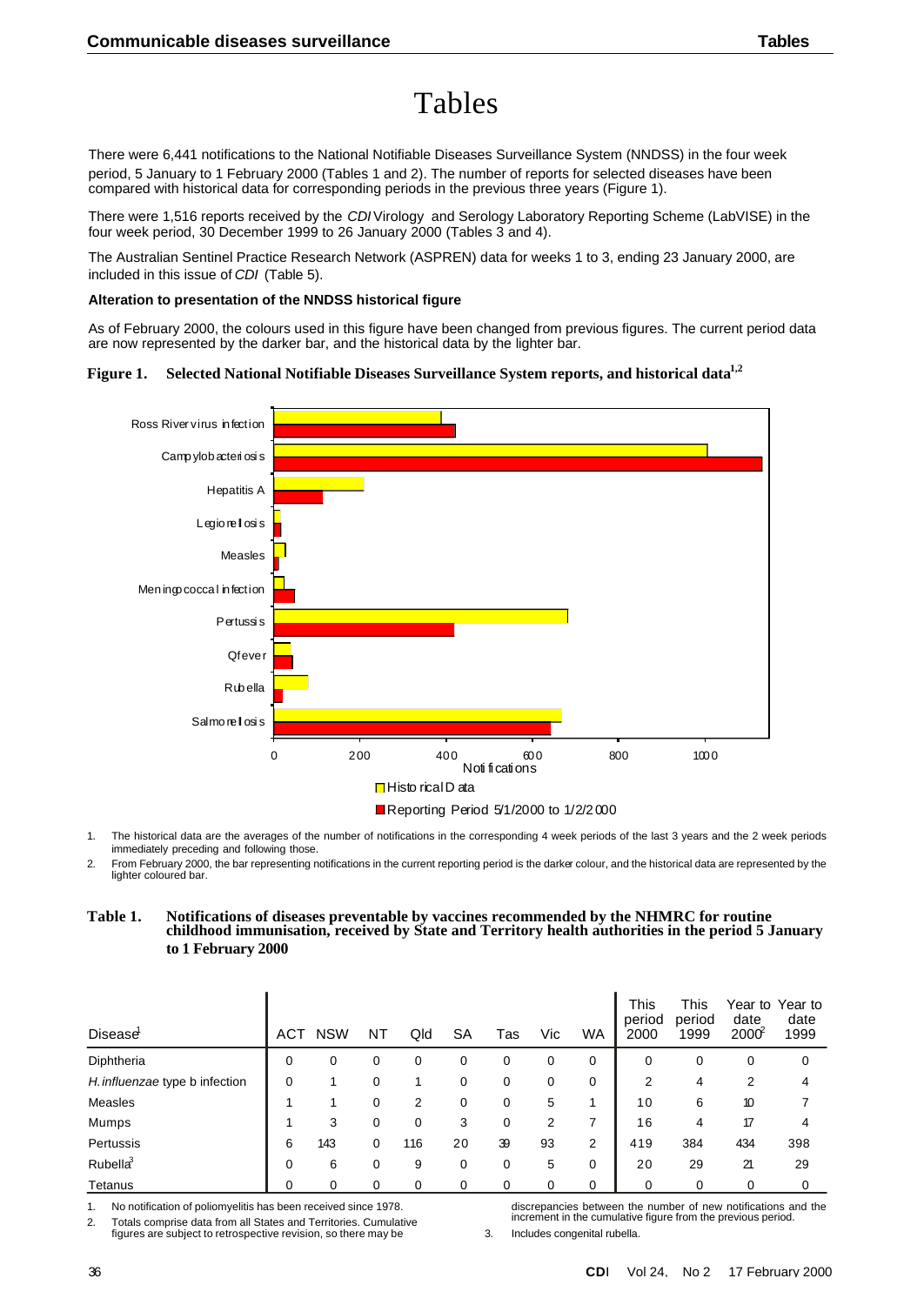# Tables

There were 6,441 notifications to the National Notifiable Diseases Surveillance System (NNDSS) in the four week period, 5 January to 1 February 2000 (Tables 1 and 2). The number of reports for selected diseases have been compared with historical data for corresponding periods in the previous three years (Figure 1).

There were 1,516 reports received by the *CDI* Virology and Serology Laboratory Reporting Scheme (LabVISE) in the four week period, 30 December 1999 to 26 January 2000 (Tables 3 and 4).

The Australian Sentinel Practice Research Network (ASPREN) data for weeks 1 to 3, ending 23 January 2000, are included in this issue of *CDI* (Table 5).

#### **Alteration to presentation of the NNDSS historical figure**

As of February 2000, the colours used in this figure have been changed from previous figures. The current period data are now represented by the darker bar, and the historical data by the lighter bar.

### **Figure 1. Selected National Notifiable Diseases Surveillance System reports, and historical data1,2**



1. The historical data are the averages of the number of notifications in the corresponding 4 week periods of the last 3 years and the 2 week periods immediately preceding and following those.

2. From February 2000, the bar representing notifications in the current reporting period is the darker colour, and the historical data are represented by the lighter coloured bar.

### **Table 1. Notifications of diseases preventable by vaccines recommended by the NHMRC for routine childhood immunisation, received by State and Territory health authorities in the period 5 January to 1 February 2000**

| <b>Disease</b>                 | ACT | <b>NSW</b> | NΤ | Qld | <b>SA</b> | Tas | Vic | <b>WA</b> | This<br>period<br>2000 | <b>This</b><br>period<br>1999 | date<br>$2000^2$ | Year to Year to<br>date<br>1999 |
|--------------------------------|-----|------------|----|-----|-----------|-----|-----|-----------|------------------------|-------------------------------|------------------|---------------------------------|
| Diphtheria                     | 0   | 0          | 0  | 0   | 0         | 0   | 0   | 0         | 0                      | 0                             | 0                | 0                               |
| H. influenzae type b infection | 0   |            | 0  |     | 0         | 0   | 0   | 0         | 2                      | 4                             | 2                | 4                               |
| Measles                        |     |            | 0  | 2   | 0         | 0   | 5   |           | 10                     | 6                             | 10               |                                 |
| Mumps                          |     | 3          | 0  | 0   | 3         | 0   | 2   |           | 16                     | 4                             | 17               | 4                               |
| Pertussis                      | 6   | 143        | 0  | 116 | 20        | 39  | 93  | 2         | 419                    | 384                           | 434              | 398                             |
| Rubella <sup>3</sup>           | 0   | 6          | 0  | 9   | 0         | 0   | 5   | 0         | 20                     | 29                            | 21               | 29                              |
| Tetanus                        | 0   | 0          | 0  | 0   | 0         | 0   | 0   | 0         | 0                      | 0                             | 0                | 0                               |

1. No notification of poliomyelitis has been received since 1978.

2. Totals comprise data from all States and Territories. Cumulative

figures are subject to retrospective revision, so there may be

discrepancies between the number of new notifications and the increment in the cumulative figure from the previous period.

3. Includes congenital rubella.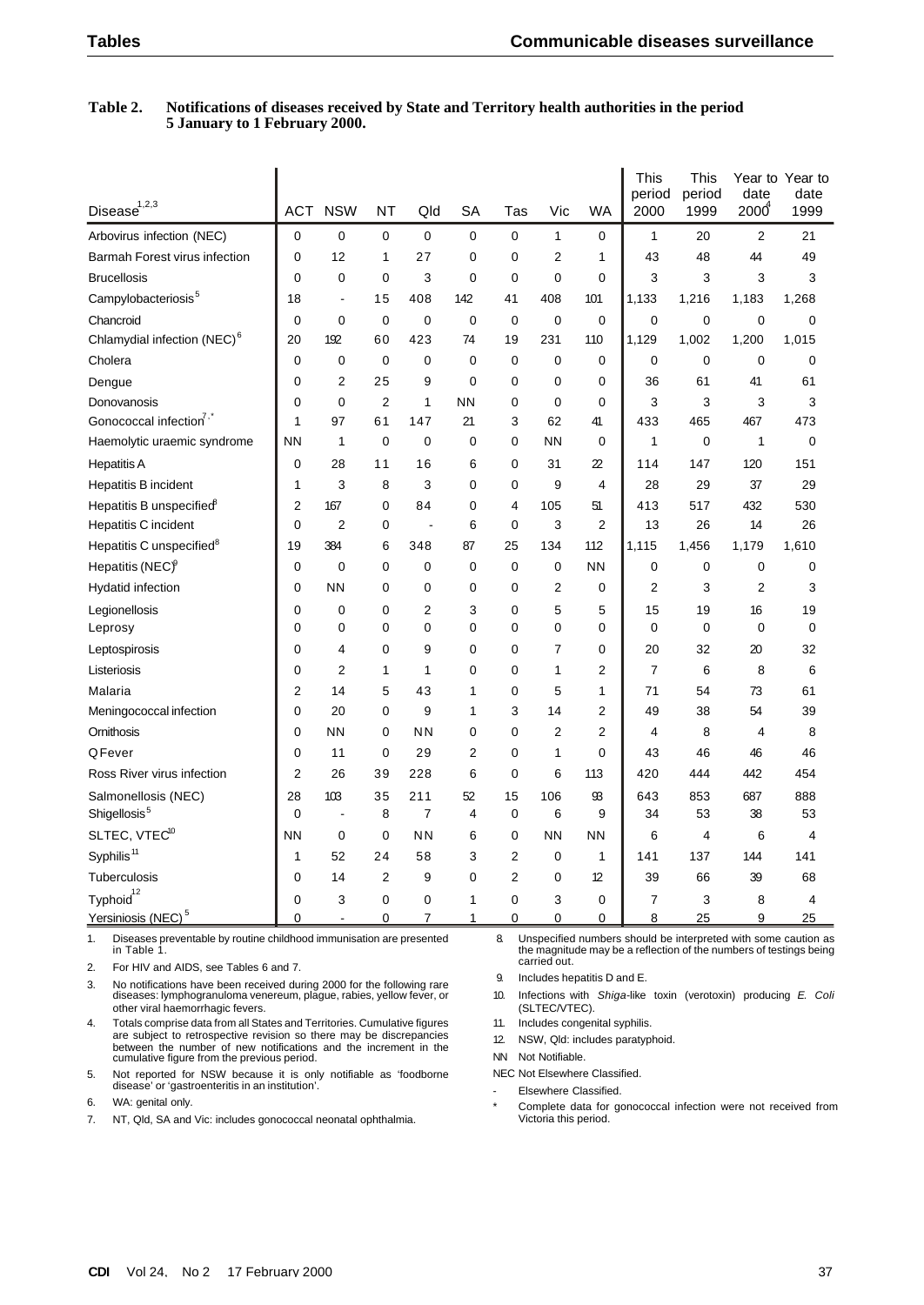### **Table 2. Notifications of diseases received by State and Territory health authorities in the period 5 January to 1 February 2000.**

| $\textsf{Disease}^{1,2,3}$              | <b>ACT</b>     | <b>NSW</b>               | NT             | Qld         | SA             | Tas            | Vic            | <b>WA</b>      | This<br>period<br>2000 | This<br>period<br>1999 | date<br>2000   | Year to Year to<br>date<br>1999 |
|-----------------------------------------|----------------|--------------------------|----------------|-------------|----------------|----------------|----------------|----------------|------------------------|------------------------|----------------|---------------------------------|
| Arbovirus infection (NEC)               | $\mathbf 0$    | $\mathbf 0$              | 0              | 0           | 0              | $\mathbf 0$    | $\mathbf{1}$   | 0              | 1                      | 20                     | $\overline{2}$ | 21                              |
| Barmah Forest virus infection           | $\Omega$       | 12                       | 1              | 27          | $\mathbf 0$    | $\mathbf 0$    | $\overline{2}$ | 1              | 43                     | 48                     | 44             | 49                              |
| <b>Brucellosis</b>                      | $\mathbf 0$    | 0                        | 0              | 3           | 0              | 0              | 0              | $\mathbf 0$    | 3                      | 3                      | 3              | 3                               |
| Campylobacteriosis <sup>5</sup>         | 18             | $\overline{\phantom{a}}$ | 15             | 408         | 142            | 41             | 408            | 101            | 1,133                  | 1,216                  | 1,183          | 1,268                           |
| Chancroid                               | 0              | $\mathbf 0$              | $\mathbf 0$    | $\mathbf 0$ | 0              | $\mathbf 0$    | $\mathbf 0$    | $\mathbf 0$    | $\mathbf 0$            | $\mathbf 0$            | 0              | $\mathbf 0$                     |
| Chlamydial infection (NEC) <sup>6</sup> | 20             | 192                      | 60             | 423         | 74             | 19             | 231            | 110            | 1,129                  | 1,002                  | 1,200          | 1,015                           |
| Cholera                                 | 0              | $\mathbf 0$              | $\mathbf 0$    | 0           | 0              | 0              | 0              | 0              | 0                      | 0                      | 0              | $\mathbf 0$                     |
| Dengue                                  | $\mathbf 0$    | $\overline{2}$           | 25             | 9           | $\mathbf 0$    | 0              | $\mathbf 0$    | $\mathbf 0$    | 36                     | 61                     | 41             | 61                              |
| Donovanosis                             | 0              | $\mathbf 0$              | $\overline{2}$ | 1           | <b>NN</b>      | 0              | $\mathbf 0$    | 0              | 3                      | 3                      | 3              | 3                               |
| Gonococcal infection <sup>7,1</sup>     | 1              | 97                       | 61             | 147         | 21             | 3              | 62             | 41             | 433                    | 465                    | 467            | 473                             |
| Haemolytic uraemic syndrome             | <b>NN</b>      | $\mathbf{1}$             | 0              | 0           | 0              | 0              | <b>NN</b>      | 0              | 1                      | $\mathbf 0$            | 1              | 0                               |
| <b>Hepatitis A</b>                      | 0              | 28                       | 11             | 16          | 6              | 0              | 31             | 22             | 114                    | 147                    | 120            | 151                             |
| <b>Hepatitis B incident</b>             | 1              | 3                        | 8              | 3           | 0              | 0              | 9              | $\overline{4}$ | 28                     | 29                     | 37             | 29                              |
| Hepatitis B unspecified <sup>9</sup>    | 2              | 167                      | 0              | 84          | 0              | 4              | 105            | 51             | 413                    | 517                    | 432            | 530                             |
| <b>Hepatitis C incident</b>             | 0              | $\overline{2}$           | 0              |             | 6              | 0              | 3              | $\overline{2}$ | 13                     | 26                     | 14             | 26                              |
| Hepatitis C unspecified <sup>8</sup>    | 19             | 384                      | 6              | 348         | 87             | 25             | 134            | 112            | 1,115                  | 1,456                  | 1,179          | 1,610                           |
| Hepatitis (NEC) <sup>9</sup>            | 0              | 0                        | 0              | 0           | 0              | 0              | 0              | <b>NN</b>      | 0                      | 0                      | 0              | 0                               |
| <b>Hydatid infection</b>                | 0              | <b>NN</b>                | 0              | 0           | 0              | $\mathbf 0$    | 2              | $\mathbf 0$    | $\overline{2}$         | 3                      | 2              | 3                               |
| Legionellosis                           | 0              | 0                        | 0              | 2           | 3              | $\mathbf 0$    | 5              | 5              | 15                     | 19                     | 16             | 19                              |
| Leprosy                                 | $\Omega$       | 0                        | 0              | 0           | 0              | $\mathbf 0$    | $\mathbf 0$    | 0              | 0                      | 0                      | $\mathbf 0$    | 0                               |
| Leptospirosis                           | 0              | 4                        | 0              | 9           | 0              | $\Omega$       | 7              | $\mathbf 0$    | 20                     | 32                     | 20             | 32                              |
| Listeriosis                             | 0              | $\overline{2}$           | 1              | 1           | 0              | $\mathbf 0$    | 1              | $\overline{2}$ | 7                      | 6                      | 8              | 6                               |
| Malaria                                 | 2              | 14                       | 5              | 43          | 1              | 0              | 5              | 1              | 71                     | 54                     | 73             | 61                              |
| Meningococcal infection                 | 0              | 20                       | 0              | 9           | 1              | 3              | 14             | $\overline{2}$ | 49                     | 38                     | 54             | 39                              |
| Ornithosis                              | 0              | <b>NN</b>                | 0              | <b>NN</b>   | 0              | $\mathbf 0$    | 2              | $\overline{2}$ | 4                      | 8                      | 4              | 8                               |
| QFever                                  | 0              | 11                       | 0              | 29          | 2              | 0              | 1              | $\mathbf 0$    | 43                     | 46                     | 46             | 46                              |
| Ross River virus infection              | $\overline{2}$ | 26                       | 39             | 228         | 6              | 0              | 6              | 113            | 420                    | 444                    | 442            | 454                             |
| Salmonellosis (NEC)                     | 28             | 103                      | 35             | 211         | 52             | 15             | 106            | 93             | 643                    | 853                    | 687            | 888                             |
| Shigellosis <sup>5</sup>                | $\mathbf 0$    | $\overline{a}$           | 8              | 7           | $\overline{4}$ | 0              | 6              | 9              | 34                     | 53                     | 38             | 53                              |
| SLTEC, VTEC <sup>10</sup>               | <b>NN</b>      | 0                        | 0              | <b>NN</b>   | 6              | 0              | <b>NN</b>      | <b>NN</b>      | 6                      | 4                      | 6              | 4                               |
| Syphilis <sup>11</sup>                  | 1              | 52                       | 24             | 58          | 3              | $\overline{2}$ | 0              | $\mathbf{1}$   | 141                    | 137                    | 144            | 141                             |
| Tuberculosis                            | $\mathbf 0$    | 14                       | 2              | 9           | 0              | $\overline{2}$ | 0              | 12             | 39                     | 66                     | 39             | 68                              |
| ${\sf Typical}^{\rm 12}$                | 0              | 3                        | 0              | 0           | 1              | 0              | 3              | 0              | 7                      | 3                      | 8              | 4                               |
| Yersiniosis (NEC) <sup>5</sup>          | 0              | $\overline{a}$           | 0              | 7           | 1              | 0              | 0              | 0              | 8                      | 25                     | 9              | 25                              |

1. Diseases preventable by routine childhood immunisation are presented in Table 1.

2. For HIV and AIDS, see Tables 6 and 7.

3. No notifications have been received during 2000 for the following rare diseases: lymphogranuloma venereum, plague, rabies, yellow fever, or other viral haemorrhagic fevers.

4. Totals comprise data from all States and Territories. Cumulative figures are subject to retrospective revision so there may be discrepancies between the number of new notifications and the increment in the cumulative figure from the previous period.

5. Not reported for NSW because it is only notifiable as 'foodborne disease' or 'gastroenteritis in an institution'.

6. WA: genital only.

7. NT, Qld, SA and Vic: includes gonococcal neonatal ophthalmia.

 8. Unspecified numbers should be interpreted with some caution as the magnitude may be a reflection of the numbers of testings being carried out.

9. Includes hepatitis D and E.

10. Infections with *Shiga*-like toxin (verotoxin) producing *E. Coli* (SLTEC/VTEC).

11. Includes congenital syphilis.

12. NSW, Qld: includes paratyphoid.

NN Not Notifiable.

NEC Not Elsewhere Classified.

- Elsewhere Classified.
- Complete data for gonococcal infection were not received from Victoria this period.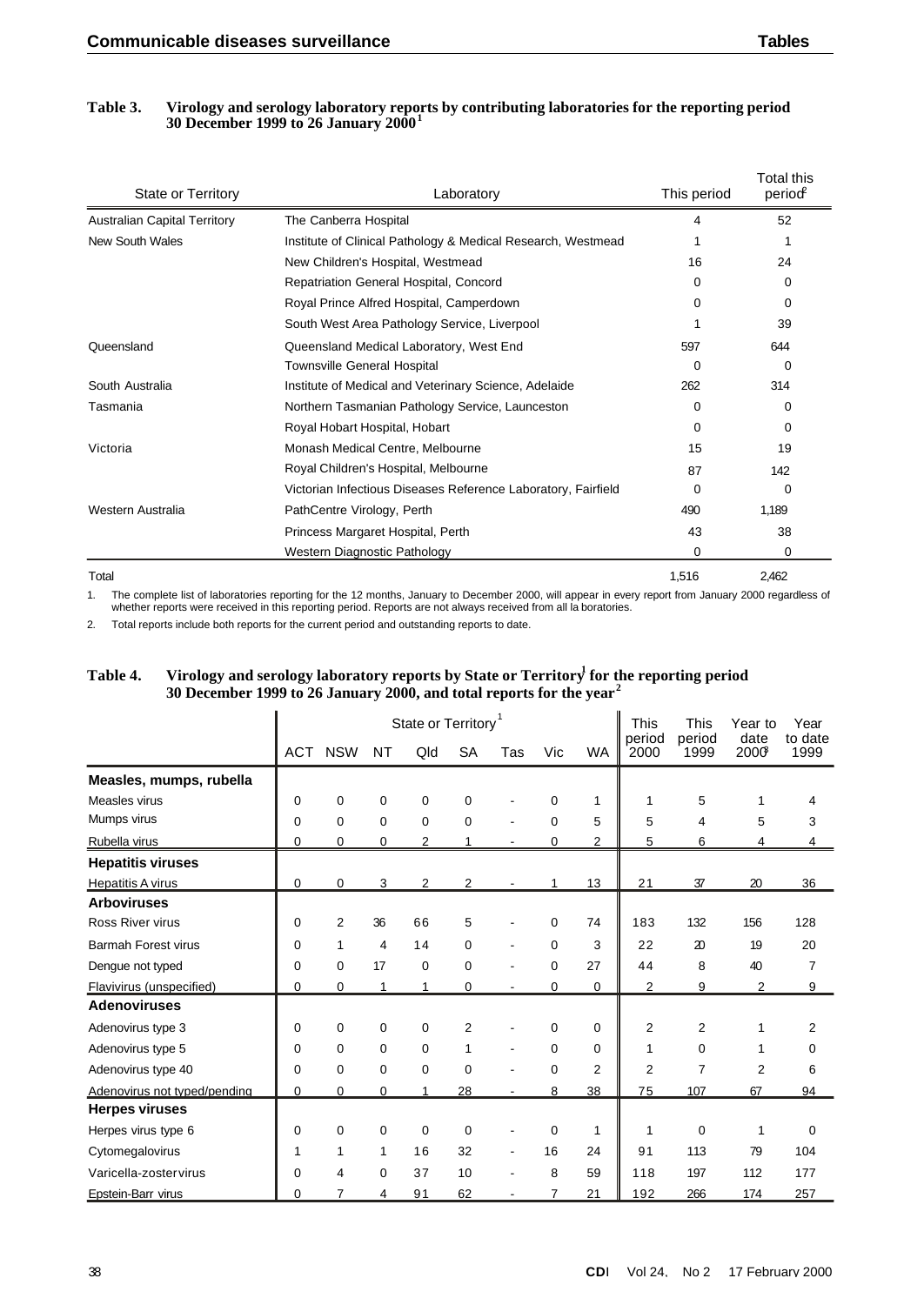### **Table 3. Virology and serology laboratory reports by contributing laboratories for the reporting period 30 December 1999 to 26 January 2000<sup>1</sup>**

| <b>State or Territory</b>           | Laboratory                                                    | This period | <b>Total this</b><br>period |
|-------------------------------------|---------------------------------------------------------------|-------------|-----------------------------|
| <b>Australian Capital Territory</b> | The Canberra Hospital                                         | 4           | 52                          |
| New South Wales                     | Institute of Clinical Pathology & Medical Research, Westmead  |             | 1                           |
|                                     | New Children's Hospital, Westmead                             | 16          | 24                          |
|                                     | Repatriation General Hospital, Concord                        | 0           | 0                           |
|                                     | Royal Prince Alfred Hospital, Camperdown                      | 0           | 0                           |
|                                     | South West Area Pathology Service, Liverpool                  |             | 39                          |
| Queensland                          | Queensland Medical Laboratory, West End                       | 597         | 644                         |
|                                     | <b>Townsville General Hospital</b>                            | $\Omega$    | $\Omega$                    |
| South Australia                     | Institute of Medical and Veterinary Science, Adelaide         | 262         | 314                         |
| Tasmania                            | Northern Tasmanian Pathology Service, Launceston              | 0           | $\Omega$                    |
|                                     | Royal Hobart Hospital, Hobart                                 | 0           | $\Omega$                    |
| Victoria                            | Monash Medical Centre, Melbourne                              | 15          | 19                          |
|                                     | Royal Children's Hospital, Melbourne                          | 87          | 142                         |
|                                     | Victorian Infectious Diseases Reference Laboratory, Fairfield | 0           | 0                           |
| Western Australia                   | PathCentre Virology, Perth                                    | 490         | 1,189                       |
|                                     | Princess Margaret Hospital, Perth                             | 43          | 38                          |
|                                     | Western Diagnostic Pathology                                  | 0           | $\Omega$                    |
| Total                               |                                                               | 1,516       | 2,462                       |

1. The complete list of laboratories reporting for the 12 months, January to December 2000, will appear in every report from January 2000 regardless of whether reports were received in this reporting period. Reports are not always received from all la boratories.

2. Total reports include both reports for the current period and outstanding reports to date.

# **Table 4. Virology and serology laboratory reports by State or Territory<sup>1</sup> for the reporting period 30 December 1999 to 26 January 2000, and total reports for the year<sup>2</sup>**

|                              | State or Territory <sup>1</sup> |             |           |     |                |     |             |                | <b>This</b>    | <b>This</b>                 | Year to        | Year            |
|------------------------------|---------------------------------|-------------|-----------|-----|----------------|-----|-------------|----------------|----------------|-----------------------------|----------------|-----------------|
|                              | <b>ACT</b>                      | <b>NSW</b>  | <b>NT</b> | Qld | <b>SA</b>      | Tas | Vic         | <b>WA</b>      | period<br>2000 | period<br>1999              | date<br>2000   | to date<br>1999 |
| Measles, mumps, rubella      |                                 |             |           |     |                |     |             |                |                |                             |                |                 |
| Measles virus                | 0                               | 0           | 0         | 0   | 0              |     | $\Omega$    | 1              | 1              | 5                           | 1              | 4               |
| Mumps virus                  | 0                               | $\mathbf 0$ | 0         | 0   | 0              |     | $\mathbf 0$ | 5              | 5              | 4                           | 5              | 3               |
| Rubella virus                | 0                               | 0           | 0         | 2   |                |     | 0           | 2              | 5              | 6                           | 4              | 4               |
| <b>Hepatitis viruses</b>     |                                 |             |           |     |                |     |             |                |                |                             |                |                 |
| <b>Hepatitis A virus</b>     | 0                               | 0           | 3         | 2   | 2              |     |             | 13             | 21             | 37                          | 20             | 36              |
| <b>Arboviruses</b>           |                                 |             |           |     |                |     |             |                |                |                             |                |                 |
| <b>Ross River virus</b>      | 0                               | 2           | 36        | 66  | 5              |     | 0           | 74             | 183            | 132                         | 156            | 128             |
| <b>Barmah Forest virus</b>   | 0                               | 1           | 4         | 14  | 0              |     | 0           | 3              | 22             | $\boldsymbol{\mathfrak{D}}$ | 19             | 20              |
| Dengue not typed             | 0                               | $\mathbf 0$ | 17        | 0   | 0              |     | $\Omega$    | 27             | 44             | 8                           | 40             | $\overline{7}$  |
| Flavivirus (unspecified)     | 0                               | 0           | 1         | 1   | 0              |     | 0           | 0              | $\overline{2}$ | 9                           | $\overline{2}$ | 9               |
| <b>Adenoviruses</b>          |                                 |             |           |     |                |     |             |                |                |                             |                |                 |
| Adenovirus type 3            | 0                               | 0           | 0         | 0   | $\overline{2}$ |     | $\Omega$    | $\Omega$       | 2              | $\overline{2}$              | 1              | 2               |
| Adenovirus type 5            | 0                               | $\Omega$    | 0         | 0   | 1              |     | 0           | $\Omega$       | 1              | 0                           | 1              | $\mathbf 0$     |
| Adenovirus type 40           | 0                               | 0           | 0         | 0   | 0              |     | 0           | $\overline{2}$ | $\overline{2}$ | 7                           | $\overline{2}$ | 6               |
| Adenovirus not typed/pending | 0                               | $\Omega$    | 0         |     | 28             |     | 8           | 38             | 75             | 107                         | 67             | 94              |
| <b>Herpes viruses</b>        |                                 |             |           |     |                |     |             |                |                |                             |                |                 |
| Herpes virus type 6          | 0                               | 0           | 0         | 0   | 0              |     | 0           | 1              | 1              | $\mathbf 0$                 | 1              | 0               |
| Cytomegalovirus              | 1                               | 1           | 1         | 16  | 32             |     | 16          | 24             | 91             | 113                         | 79             | 104             |
| Varicella-zostervirus        | 0                               | 4           | 0         | 37  | 10             |     | 8           | 59             | 118            | 197                         | 112            | 177             |
| Epstein-Barr virus           | 0                               | 7           | 4         | 91  | 62             |     | 7           | 21             | 192            | 266                         | 174            | 257             |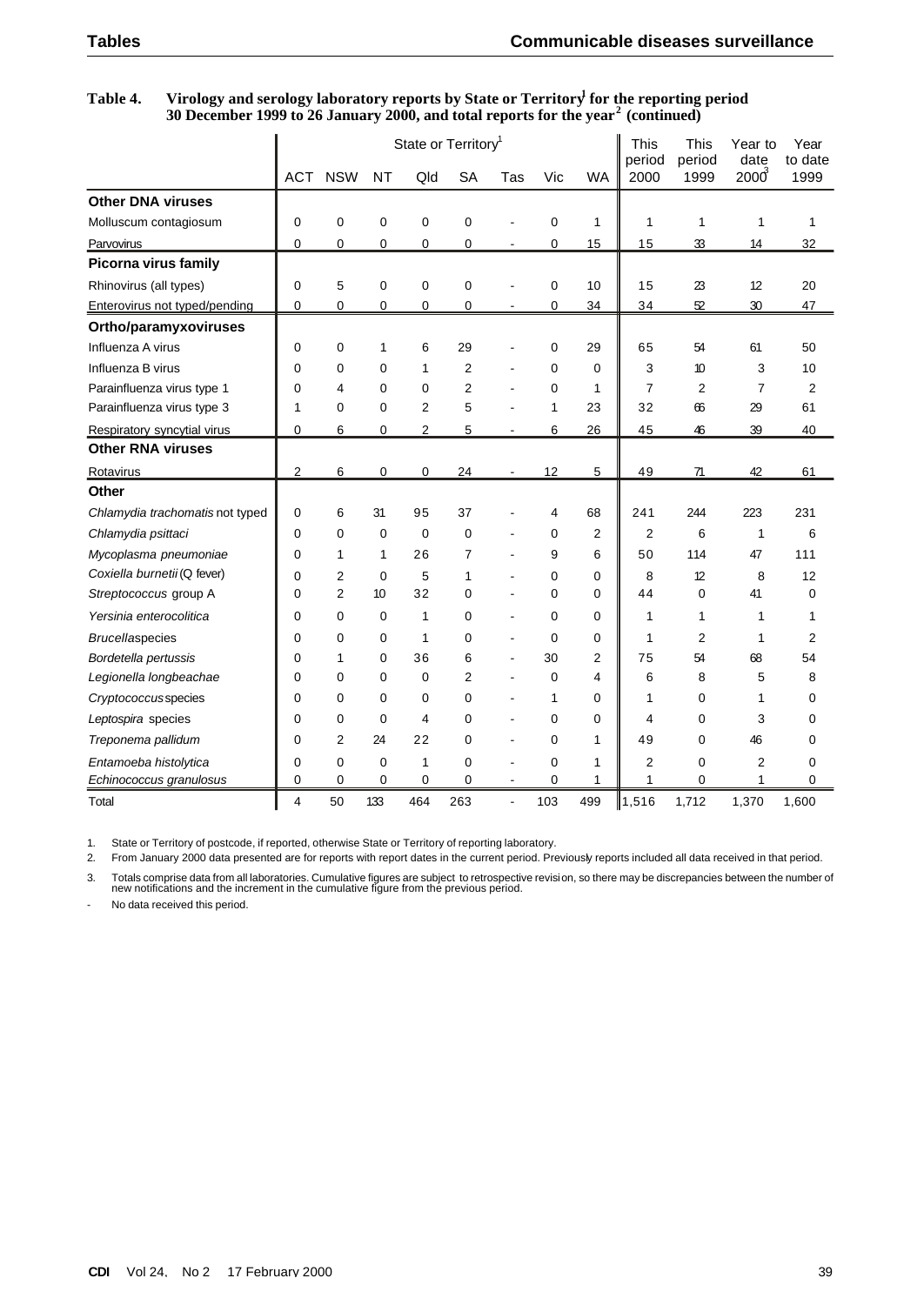## **Table 4. Virology and serology laboratory reports by State or Territory<sup>1</sup> for the reporting period 30 December 1999 to 26 January 2000, and total reports for the year<sup>2</sup> (continued)**

|                                 | State or Territory <sup>1</sup> |                |           |                |           |                |             |                | <b>This</b>    | <b>This</b>    | Year to          | Year<br>to date |
|---------------------------------|---------------------------------|----------------|-----------|----------------|-----------|----------------|-------------|----------------|----------------|----------------|------------------|-----------------|
|                                 | <b>ACT</b>                      | <b>NSW</b>     | <b>NT</b> | Qld            | <b>SA</b> | Tas            | Vic         | <b>WA</b>      | period<br>2000 | period<br>1999 | date<br>$2000^3$ | 1999            |
| <b>Other DNA viruses</b>        |                                 |                |           |                |           |                |             |                |                |                |                  |                 |
| Molluscum contagiosum           | 0                               | $\mathbf 0$    | 0         | $\mathbf 0$    | 0         |                | 0           | $\mathbf{1}$   | 1              | 1              | 1                | 1               |
| Parvovirus                      | 0                               | 0              | 0         | 0              | 0         | $\blacksquare$ | 0           | 15             | 15             | 33             | 14               | 32              |
| <b>Picorna virus family</b>     |                                 |                |           |                |           |                |             |                |                |                |                  |                 |
| Rhinovirus (all types)          | 0                               | 5              | 0         | $\mathbf 0$    | 0         |                | 0           | 10             | 15             | 23             | 12               | 20              |
| Enterovirus not typed/pending   | 0                               | 0              | 0         | 0              | 0         |                | 0           | 34             | 34             | 52             | 30               | 47              |
| Ortho/paramyxoviruses           |                                 |                |           |                |           |                |             |                |                |                |                  |                 |
| Influenza A virus               | 0                               | 0              | 1         | 6              | 29        |                | 0           | 29             | 65             | 54             | 61               | 50              |
| Influenza B virus               | 0                               | 0              | 0         | 1              | 2         |                | 0           | $\mathbf 0$    | 3              | 10             | 3                | 10              |
| Parainfluenza virus type 1      | 0                               | 4              | 0         | $\Omega$       | 2         |                | 0           | 1              | 7              | $\overline{2}$ | $\overline{7}$   | 2               |
| Parainfluenza virus type 3      | 1                               | 0              | 0         | 2              | 5         |                | 1           | 23             | 32             | 66             | 29               | 61              |
| Respiratory syncytial virus     | 0                               | 6              | 0         | $\overline{2}$ | 5         | ۰              | 6           | 26             | 45             | 46             | 39               | 40              |
| <b>Other RNA viruses</b>        |                                 |                |           |                |           |                |             |                |                |                |                  |                 |
| Rotavirus                       | 2                               | 6              | 0         | 0              | 24        | $\blacksquare$ | 12          | 5              | 49             | 71             | 42               | 61              |
| Other                           |                                 |                |           |                |           |                |             |                |                |                |                  |                 |
| Chlamydia trachomatis not typed | $\Omega$                        | 6              | 31        | 95             | 37        |                | 4           | 68             | 241            | 244            | 223              | 231             |
| Chlamydia psittaci              | $\mathbf 0$                     | $\mathbf 0$    | 0         | $\mathbf 0$    | 0         |                | 0           | $\overline{2}$ | 2              | 6              | $\mathbf{1}$     | 6               |
| Mycoplasma pneumoniae           | $\Omega$                        | 1              | 1         | 26             | 7         |                | 9           | 6              | 50             | 114            | 47               | 111             |
| Coxiella burnetii (Q fever)     | 0                               | 2              | 0         | 5              | 1         |                | 0           | 0              | 8              | 12             | 8                | 12              |
| Streptococcus group A           | 0                               | $\overline{2}$ | 10        | 32             | 0         |                | 0           | $\mathbf 0$    | 44             | 0              | 41               | 0               |
| Yersinia enterocolitica         | $\Omega$                        | $\mathbf 0$    | 0         | 1              | 0         |                | 0           | $\mathbf 0$    | 1              | 1              | 1                | 1               |
| <b>Brucellaspecies</b>          | 0                               | 0              | 0         | 1              | 0         | $\blacksquare$ | 0           | 0              | 1              | 2              | 1                | 2               |
| Bordetella pertussis            | $\Omega$                        | 1              | 0         | 36             | 6         | $\blacksquare$ | 30          | $\overline{2}$ | 75             | 54             | 68               | 54              |
| Legionella longbeachae          | $\Omega$                        | 0              | 0         | 0              | 2         |                | 0           | 4              | 6              | 8              | 5                | 8               |
| Cryptococcusspecies             | $\Omega$                        | $\mathbf 0$    | 0         | $\mathbf 0$    | 0         |                | 1           | $\mathbf 0$    | 1              | $\mathbf 0$    | 1                | 0               |
| Leptospira species              | 0                               | 0              | 0         | 4              | 0         |                | 0           | 0              | 4              | 0              | 3                | 0               |
| Treponema pallidum              | $\Omega$                        | $\overline{2}$ | 24        | 22             | 0         | $\blacksquare$ | $\mathbf 0$ | 1              | 49             | $\mathbf 0$    | 46               | 0               |
| Entamoeba histolytica           | 0                               | 0              | 0         | 1              | 0         | ÷              | 0           | 1              | 2              | $\mathbf 0$    | 2                | 0               |
| Echinococcus granulosus         | 0                               | $\mathbf 0$    | 0         | 0              | 0         | $\overline{a}$ | 0           | $\mathbf{1}$   | $\mathbf{1}$   | $\mathbf 0$    | 1                | 0               |
| Total                           | 4                               | 50             | 133       | 464            | 263       | $\blacksquare$ | 103         | 499            | $\ 1,516$      | 1,712          | 1,370            | 1,600           |

1. State or Territory of postcode, if reported, otherwise State or Territory of reporting laboratory.

2. From January 2000 data presented are for reports with report dates in the current period. Previously reports included all data received in that period.

3. Totals comprise data from all laboratories. Cumulative figures are subject to retrospective revision, so there may be discrepancies between the number of new notifications and the increment in the cumulative figure from

No data received this period.